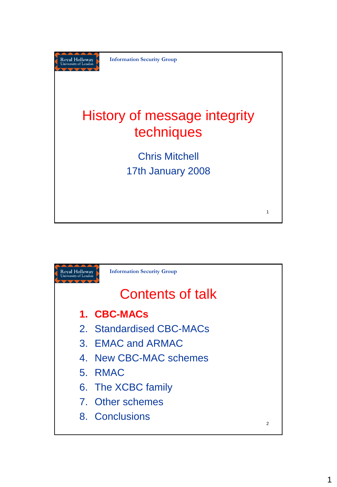

**Information Security Group**

## History of message integrity techniques

Chris Mitchell 17th January 2008

1

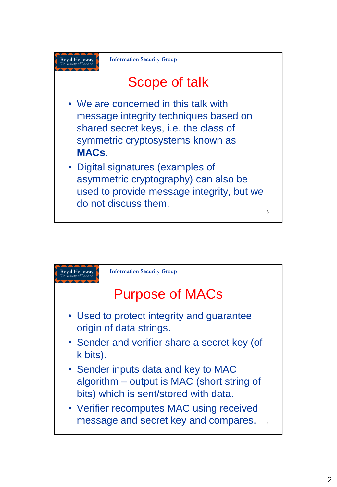

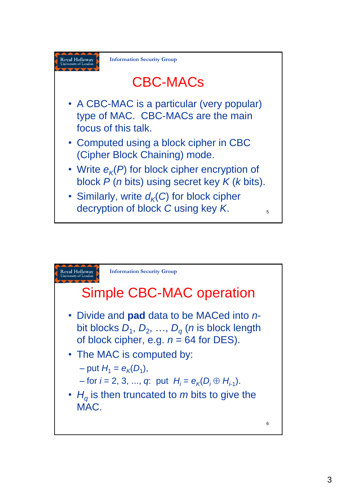

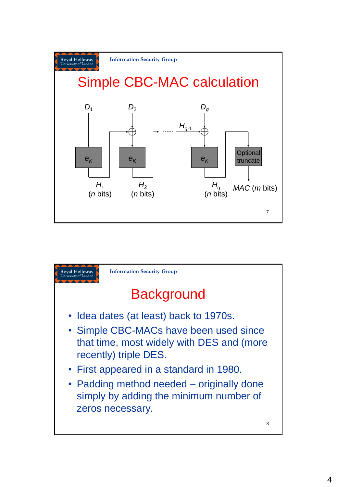

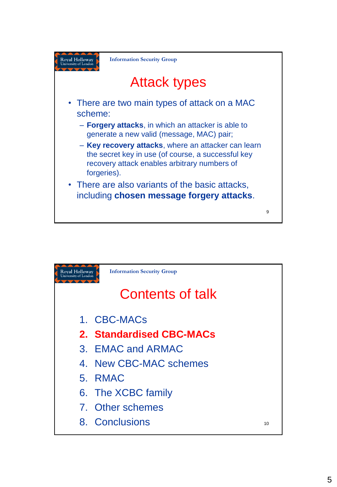

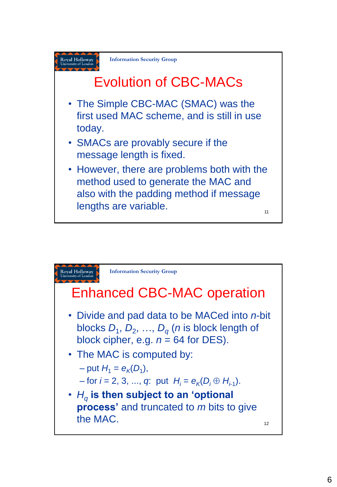

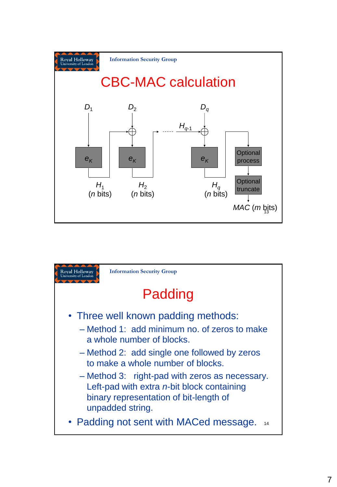

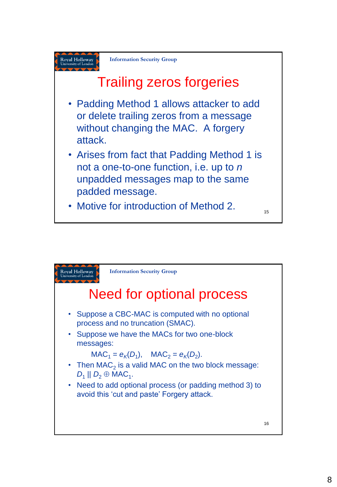

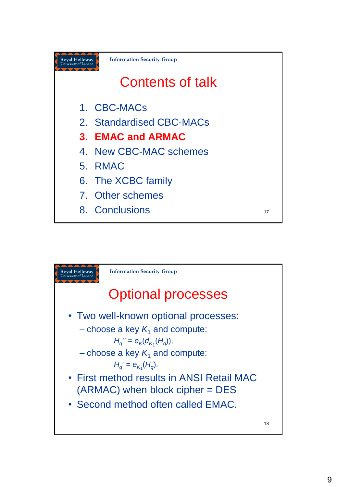

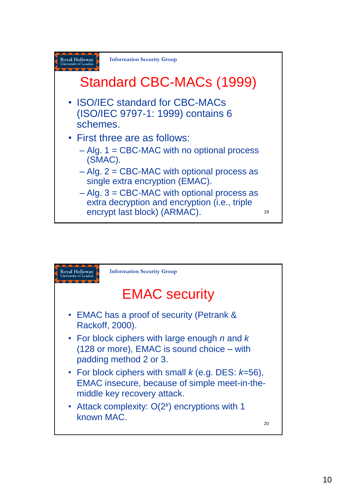

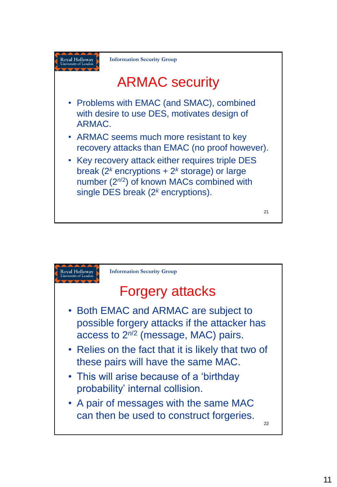

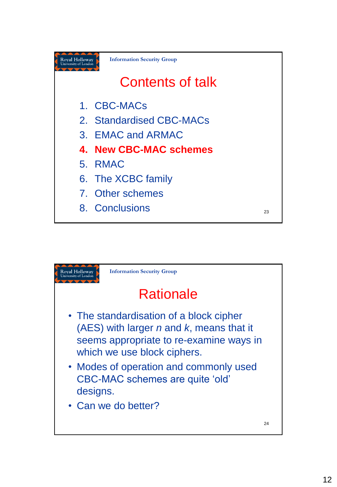

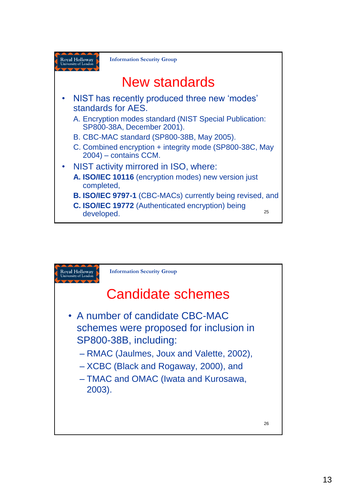

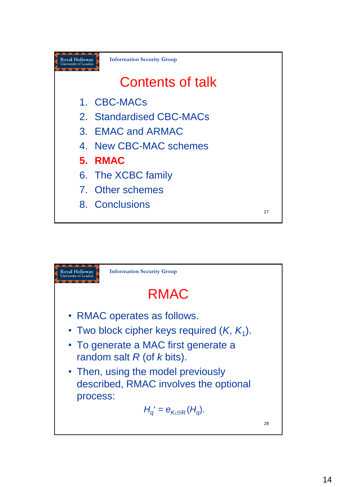

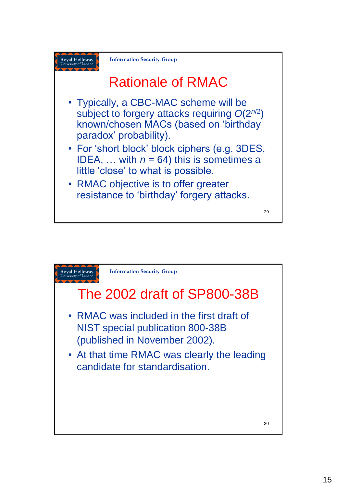

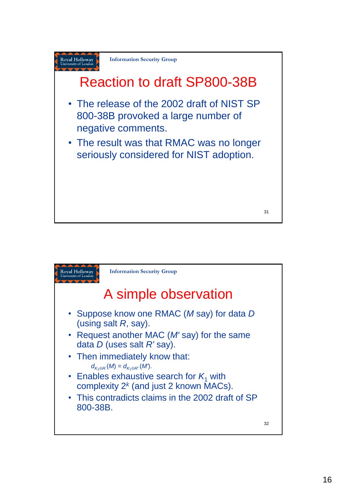

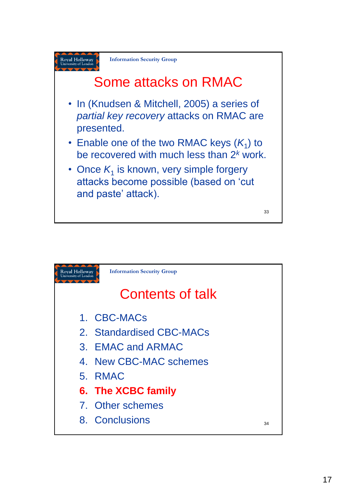

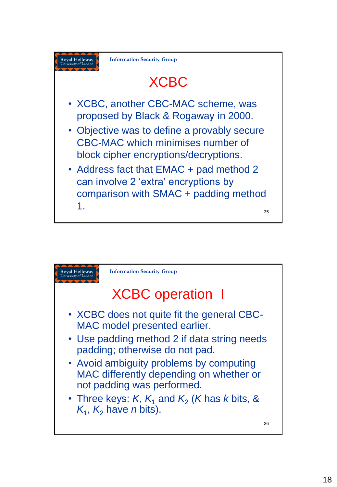

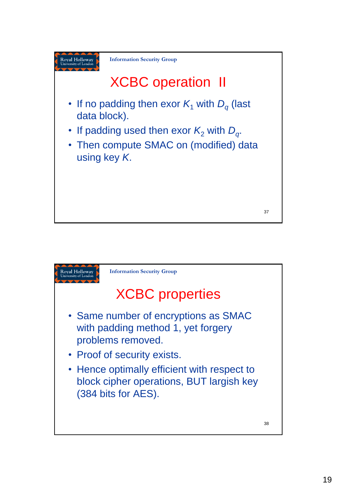

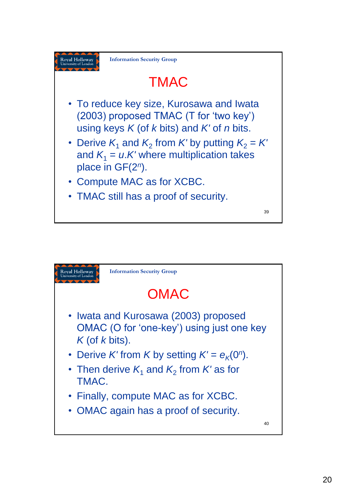

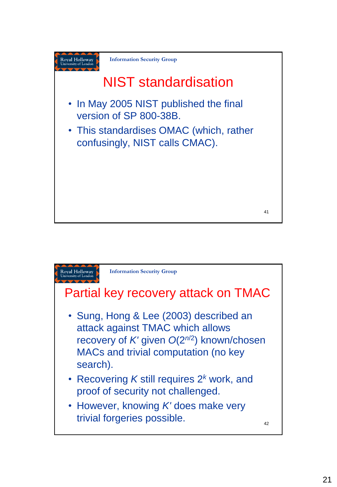

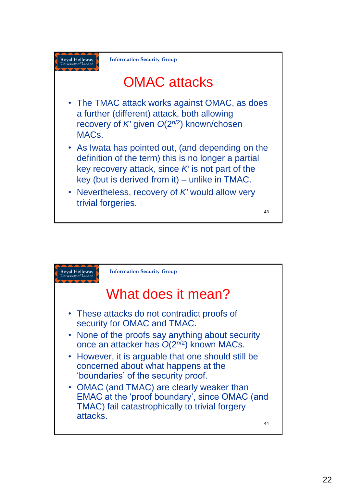

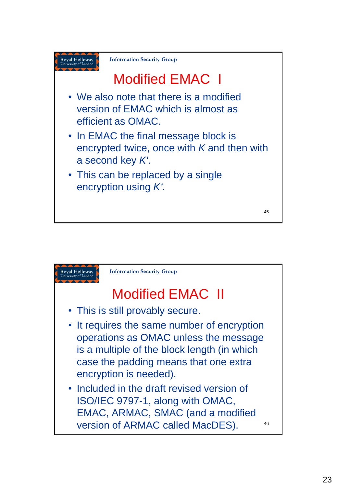

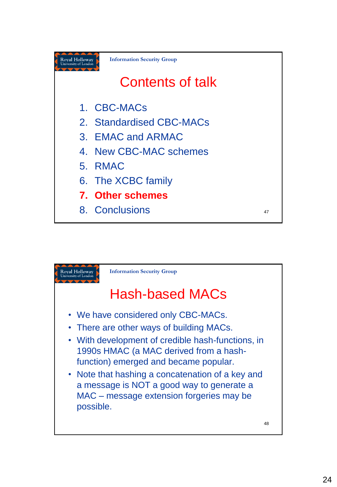

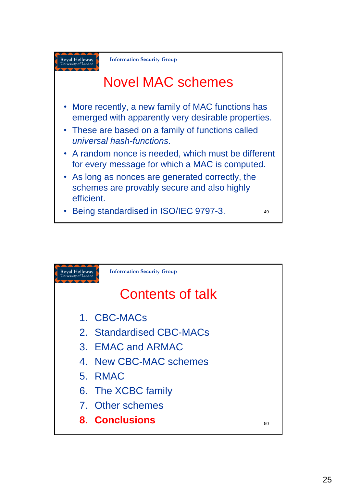